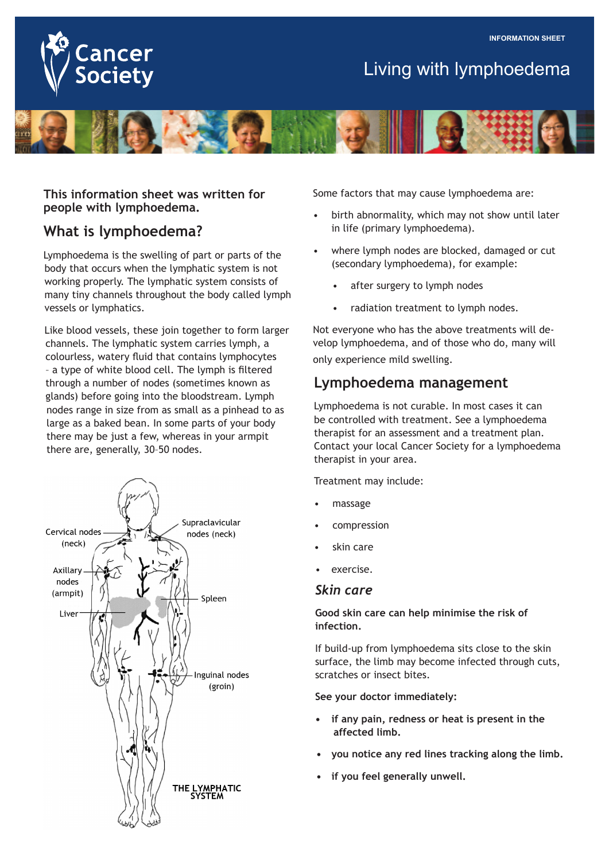

# Living with lymphoedema



**This information sheet was written for people with lymphoedema.**

## **What is lymphoedema?**

Lymphoedema is the swelling of part or parts of the body that occurs when the lymphatic system is not working properly. The lymphatic system consists of many tiny channels throughout the body called lymph vessels or lymphatics.

Like blood vessels, these join together to form larger channels. The lymphatic system carries lymph, a colourless, watery fluid that contains lymphocytes – a type of white blood cell. The lymph is filtered through a number of nodes (sometimes known as glands) before going into the bloodstream. Lymph nodes range in size from as small as a pinhead to as large as a baked bean. In some parts of your body there may be just a few, whereas in your armpit there are, generally, 30–50 nodes.



Some factors that may cause lymphoedema are:

- birth abnormality, which may not show until later in life (primary lymphoedema).
- where lymph nodes are blocked, damaged or cut (secondary lymphoedema), for example:
	- after surgery to lymph nodes
	- radiation treatment to lymph nodes.

Not everyone who has the above treatments will develop lymphoedema, and of those who do, many will only experience mild swelling.

### **Lymphoedema management**

Lymphoedema is not curable. In most cases it can be controlled with treatment. See a lymphoedema therapist for an assessment and a treatment plan. Contact your local Cancer Society for a lymphoedema therapist in your area.

Treatment may include:

- massage
- compression
- skin care
- exercise.

#### *Skin care*

**Good skin care can help minimise the risk of infection.**

If build-up from lymphoedema sits close to the skin surface, the limb may become infected through cuts, scratches or insect bites.

**See your doctor immediately:**

- **if any pain, redness or heat is present in the affected limb.**
- **vou notice any red lines tracking along the limb.**
- **if you feel generally unwell.**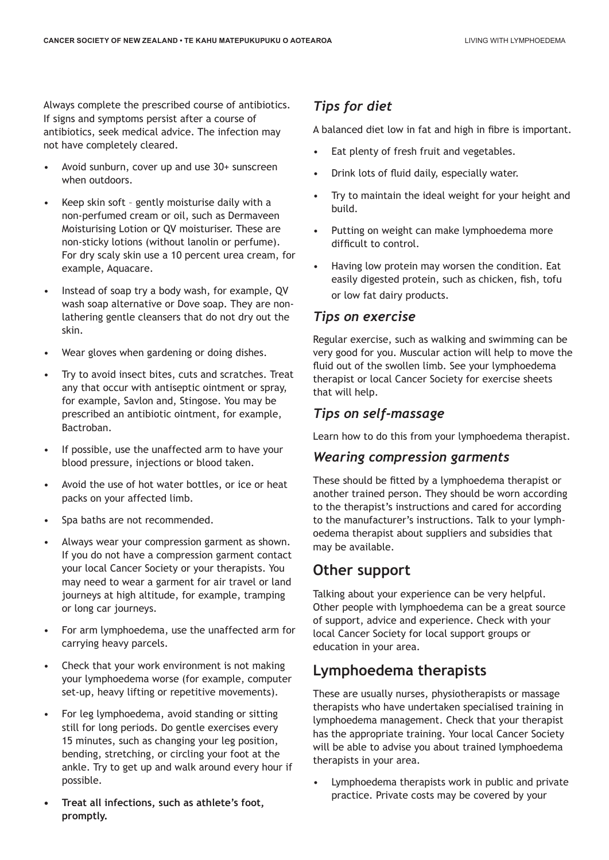Always complete the prescribed course of antibiotics. If signs and symptoms persist after a course of antibiotics, seek medical advice. The infection may not have completely cleared.

- Avoid sunburn, cover up and use 30+ sunscreen when outdoors.
- Keep skin soft gently moisturise daily with a non-perfumed cream or oil, such as Dermaveen Moisturising Lotion or QV moisturiser. These are non-sticky lotions (without lanolin or perfume). For dry scaly skin use a 10 percent urea cream, for example, Aquacare.
- Instead of soap try a body wash, for example, QV wash soap alternative or Dove soap. They are nonlathering gentle cleansers that do not dry out the skin.
- Wear gloves when gardening or doing dishes.
- Try to avoid insect bites, cuts and scratches. Treat any that occur with antiseptic ointment or spray, for example, Savlon and, Stingose. You may be prescribed an antibiotic ointment, for example, Bactroban.
- If possible, use the unaffected arm to have your blood pressure, injections or blood taken.
- Avoid the use of hot water bottles, or ice or heat packs on your affected limb.
- Spa baths are not recommended.
- Always wear your compression garment as shown. If you do not have a compression garment contact your local Cancer Society or your therapists. You may need to wear a garment for air travel or land journeys at high altitude, for example, tramping or long car journeys.
- For arm lymphoedema, use the unaffected arm for carrying heavy parcels.
- Check that your work environment is not making your lymphoedema worse (for example, computer set-up, heavy lifting or repetitive movements).
- For leg lymphoedema, avoid standing or sitting still for long periods. Do gentle exercises every 15 minutes, such as changing your leg position, bending, stretching, or circling your foot at the ankle. Try to get up and walk around every hour if possible.
- **Treat all infections, such as athlete's foot, promptly.**

### *Tips for diet*

A balanced diet low in fat and high in fibre is important.

- Eat plenty of fresh fruit and vegetables.
- Drink lots of fluid daily, especially water.
- Try to maintain the ideal weight for your height and build.
- Putting on weight can make lymphoedema more difficult to control.
- Having low protein may worsen the condition. Eat easily digested protein, such as chicken, fish, tofu or low fat dairy products.

### *Tips on exercise*

Regular exercise, such as walking and swimming can be very good for you. Muscular action will help to move the fluid out of the swollen limb. See your lymphoedema therapist or local Cancer Society for exercise sheets that will help.

### *Tips on self-massage*

Learn how to do this from your lymphoedema therapist.

#### *Wearing compression garments*

These should be fitted by a lymphoedema therapist or another trained person. They should be worn according to the therapist's instructions and cared for according to the manufacturer's instructions. Talk to your lymphoedema therapist about suppliers and subsidies that may be available.

### **Other support**

Talking about your experience can be very helpful. Other people with lymphoedema can be a great source of support, advice and experience. Check with your local Cancer Society for local support groups or education in your area.

### **Lymphoedema therapists**

These are usually nurses, physiotherapists or massage therapists who have undertaken specialised training in lymphoedema management. Check that your therapist has the appropriate training. Your local Cancer Society will be able to advise you about trained lymphoedema therapists in your area.

Lymphoedema therapists work in public and private practice. Private costs may be covered by your